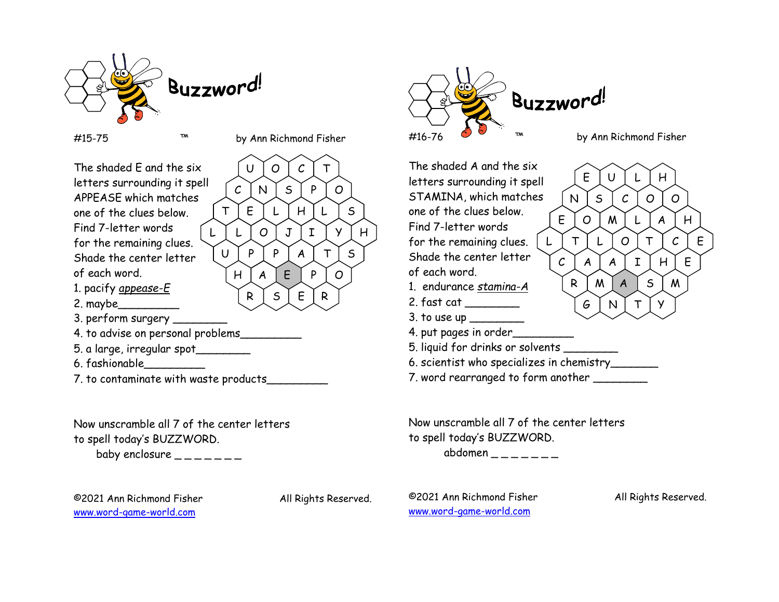

#15-75 ™ by Ann Richmond Fisher

 $R S E R$ 

U | O | C | T |

 $C$   $\mid$  N  $\mid$  S  $\mid$  P  $\mid$  O  $\mid$ 

H | A | E | P | O |

The shaded E and the six | U letters surrounding it spell There is surrounding it spell<br>APPEASE which matches one of the clues below. Find 7-letter words  $\bigcap_{L}$ for the remaining clues. Shade the center letter  $\bigcup$ of each word. 1. pacify *appease-E* 2. maybe\_\_\_\_\_\_\_\_\_ 3. perform surgery \_\_\_\_\_\_\_\_ 4. to advise on personal problems\_\_\_\_\_\_\_\_\_ 5. a large, irregular spot\_\_\_\_\_\_\_\_ T | E | L | H | L | S | | | | | L | L | O | J | I | Y | H | | | | ''''  $\mathsf{U} \parallel \mathsf{P} \parallel \mathsf{P} \parallel \mathsf{A} \parallel \mathsf{T} \parallel \mathsf{S} \parallel$ 

6. fashionable\_\_\_\_\_\_\_\_\_

7. to contaminate with waste products\_\_\_\_\_\_\_\_\_

Now unscramble all 7 of the center letters to spell today's BUZZWORD.

baby enclosure  $\frac{1}{1}$  \_\_\_\_\_\_

©2021 Ann Richmond Fisher All Rights Reserved. www.word-game-world.com

©2021 Ann Richmond Fisher All Rights Reserved. www.word-game-world.com

R | M | A | S | M |

 $G[N]T$ 

#16-76 ™ by Ann Richmond Fisher The shaded A and the six  $\Bigg($  E letters surrounding it spell STAMINA, which matches  $\begin{bmatrix} N \end{bmatrix}$ one of the clues below. Find 7-letter words for the remaining clues.  $\vert L \vert$ Shade the center letter  $\bigwedge_{\mathcal{C}}$  $E$  | U | L | H |  $N \mid S \mid C \mid O \mid O \mid$  $E$   $\vert$   $O$   $\vert$   $M$   $\vert$   $L$   $\vert$   $A$   $\vert$   $H$   $\vert$ L | T | L | O | T | C | E |  $A \mid A \mid I \mid H \mid E$ 

Buzzword

of each word.

- 1. endurance *stamina-A*
- 2. fast cat \_\_\_\_\_\_\_\_
- $3.$  to use up  $\sqrt{3}$
- 4. put pages in order\_
- 5. liquid for drinks or solvents \_\_\_\_\_\_\_\_

6. scientist who specializes in chemistry\_\_\_\_\_\_\_

7. word rearranged to form another \_\_\_\_\_\_\_\_

Now unscramble all 7 of the center letters to spell today's BUZZWORD.

abdomen  $-$